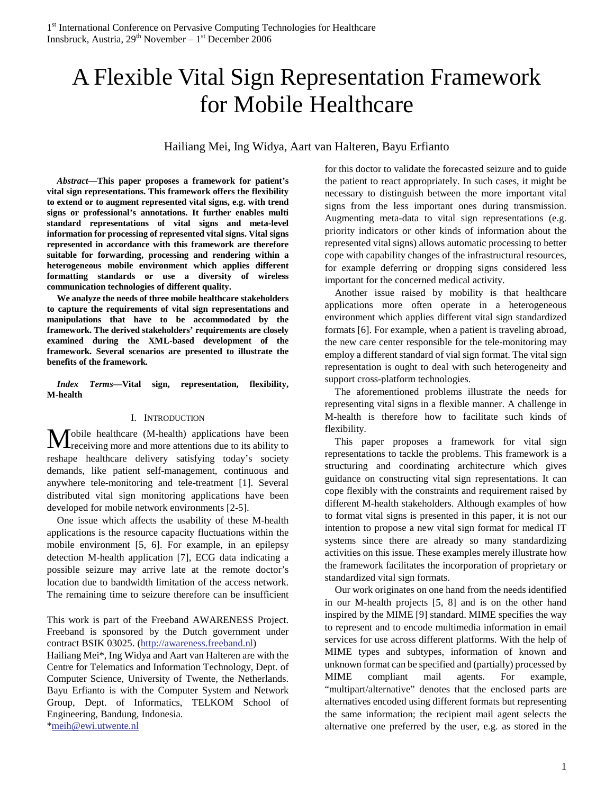# A Flexible Vital Sign Representation Framework for Mobile Healthcare

Hailiang Mei, Ing Widya, Aart van Halteren, Bayu Erfianto

*Abstract***—This paper proposes a framework for patient's vital sign representations. This framework offers the flexibility to extend or to augment represented vital signs, e.g. with trend signs or professional's annotations. It further enables multi standard representations of vital signs and meta-level information for processing of represented vital signs. Vital signs represented in accordance with this framework are therefore suitable for forwarding, processing and rendering within a heterogeneous mobile environment which applies different formatting standards or use a diversity of wireless communication technologies of different quality.** 

**We analyze the needs of three mobile healthcare stakeholders to capture the requirements of vital sign representations and manipulations that have to be accommodated by the framework. The derived stakeholders' requirements are closely examined during the XML-based development of the framework. Several scenarios are presented to illustrate the benefits of the framework.** 

*Index Terms***—Vital sign, representation, flexibility, M-health** 

#### I. INTRODUCTION

obile healthcare (M-health) applications have been **M**obile healthcare (M-health) applications have been receiving more and more attentions due to its ability to reshape healthcare delivery satisfying today's society demands, like patient self-management, continuous and anywhere tele-monitoring and tele-treatment [1]. Several distributed vital sign monitoring applications have been developed for mobile network environments [2-5].

One issue which affects the usability of these M-health applications is the resource capacity fluctuations within the mobile environment [5, 6]. For example, in an epilepsy detection M-health application [7], ECG data indicating a possible seizure may arrive late at the remote doctor's location due to bandwidth limitation of the access network. The remaining time to seizure therefore can be insufficient

This work is part of the Freeband AWARENESS Project. Freeband is sponsored by the Dutch government under contract BSIK 03025. (http://awareness.freeband.nl)

Hailiang Mei\*, Ing Widya and Aart van Halteren are with the Centre for Telematics and Information Technology, Dept. of Computer Science, University of Twente, the Netherlands. Bayu Erfianto is with the Computer System and Network Group, Dept. of Informatics, TELKOM School of Engineering, Bandung, Indonesia. \*meih@ewi.utwente.nl

for this doctor to validate the forecasted seizure and to guide the patient to react appropriately. In such cases, it might be necessary to distinguish between the more important vital signs from the less important ones during transmission. Augmenting meta-data to vital sign representations (e.g. priority indicators or other kinds of information about the represented vital signs) allows automatic processing to better cope with capability changes of the infrastructural resources, for example deferring or dropping signs considered less important for the concerned medical activity.

Another issue raised by mobility is that healthcare applications more often operate in a heterogeneous environment which applies different vital sign standardized formats [6]. For example, when a patient is traveling abroad, the new care center responsible for the tele-monitoring may employ a different standard of vial sign format. The vital sign representation is ought to deal with such heterogeneity and support cross-platform technologies.

The aforementioned problems illustrate the needs for representing vital signs in a flexible manner. A challenge in M-health is therefore how to facilitate such kinds of flexibility.

This paper proposes a framework for vital sign representations to tackle the problems. This framework is a structuring and coordinating architecture which gives guidance on constructing vital sign representations. It can cope flexibly with the constraints and requirement raised by different M-health stakeholders. Although examples of how to format vital signs is presented in this paper, it is not our intention to propose a new vital sign format for medical IT systems since there are already so many standardizing activities on this issue. These examples merely illustrate how the framework facilitates the incorporation of proprietary or standardized vital sign formats.

Our work originates on one hand from the needs identified in our M-health projects [5, 8] and is on the other hand inspired by the MIME [9] standard. MIME specifies the way to represent and to encode multimedia information in email services for use across different platforms. With the help of MIME types and subtypes, information of known and unknown format can be specified and (partially) processed by MIME compliant mail agents. For example, "multipart/alternative" denotes that the enclosed parts are alternatives encoded using different formats but representing the same information; the recipient mail agent selects the alternative one preferred by the user, e.g. as stored in the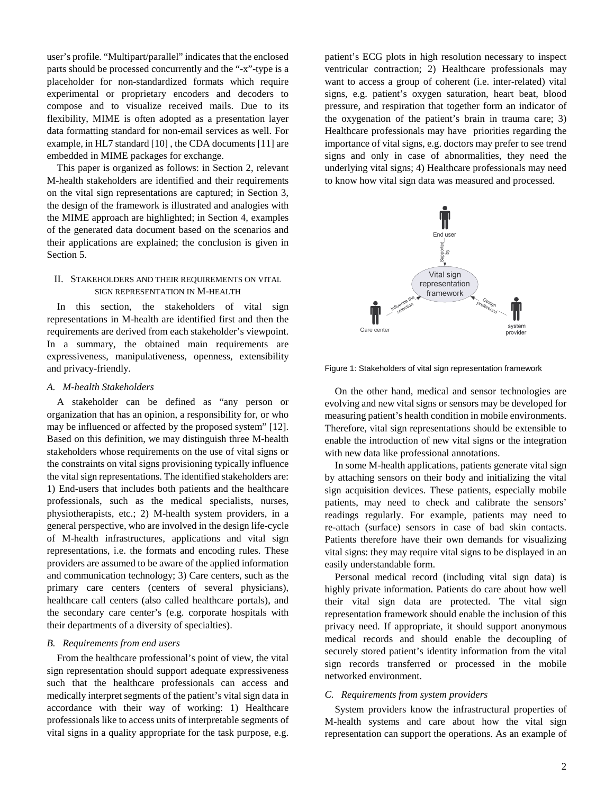user's profile. "Multipart/parallel" indicates that the enclosed parts should be processed concurrently and the "-x"-type is a placeholder for non-standardized formats which require experimental or proprietary encoders and decoders to compose and to visualize received mails. Due to its flexibility, MIME is often adopted as a presentation layer data formatting standard for non-email services as well. For example, in HL7 standard [10] , the CDA documents [11] are embedded in MIME packages for exchange.

This paper is organized as follows: in Section 2, relevant M-health stakeholders are identified and their requirements on the vital sign representations are captured; in Section 3, the design of the framework is illustrated and analogies with the MIME approach are highlighted; in Section 4, examples of the generated data document based on the scenarios and their applications are explained; the conclusion is given in Section 5.

# II. STAKEHOLDERS AND THEIR REQUIREMENTS ON VITAL SIGN REPRESENTATION IN M-HEALTH

In this section, the stakeholders of vital sign representations in M-health are identified first and then the requirements are derived from each stakeholder's viewpoint. In a summary, the obtained main requirements are expressiveness, manipulativeness, openness, extensibility and privacy-friendly.

# *A. M-health Stakeholders*

A stakeholder can be defined as "any person or organization that has an opinion, a responsibility for, or who may be influenced or affected by the proposed system" [12]. Based on this definition, we may distinguish three M-health stakeholders whose requirements on the use of vital signs or the constraints on vital signs provisioning typically influence the vital sign representations. The identified stakeholders are: 1) End-users that includes both patients and the healthcare professionals, such as the medical specialists, nurses, physiotherapists, etc.; 2) M-health system providers, in a general perspective, who are involved in the design life-cycle of M-health infrastructures, applications and vital sign representations, i.e. the formats and encoding rules. These providers are assumed to be aware of the applied information and communication technology; 3) Care centers, such as the primary care centers (centers of several physicians), healthcare call centers (also called healthcare portals), and the secondary care center's (e.g. corporate hospitals with their departments of a diversity of specialties).

## *B. Requirements from end users*

From the healthcare professional's point of view, the vital sign representation should support adequate expressiveness such that the healthcare professionals can access and medically interpret segments of the patient's vital sign data in accordance with their way of working: 1) Healthcare professionals like to access units of interpretable segments of vital signs in a quality appropriate for the task purpose, e.g.

patient's ECG plots in high resolution necessary to inspect ventricular contraction; 2) Healthcare professionals may want to access a group of coherent (i.e. inter-related) vital signs, e.g. patient's oxygen saturation, heart beat, blood pressure, and respiration that together form an indicator of the oxygenation of the patient's brain in trauma care; 3) Healthcare professionals may have priorities regarding the importance of vital signs, e.g. doctors may prefer to see trend signs and only in case of abnormalities, they need the underlying vital signs; 4) Healthcare professionals may need to know how vital sign data was measured and processed.



Figure 1: Stakeholders of vital sign representation framework

On the other hand, medical and sensor technologies are evolving and new vital signs or sensors may be developed for measuring patient's health condition in mobile environments. Therefore, vital sign representations should be extensible to enable the introduction of new vital signs or the integration with new data like professional annotations.

In some M-health applications, patients generate vital sign by attaching sensors on their body and initializing the vital sign acquisition devices. These patients, especially mobile patients, may need to check and calibrate the sensors' readings regularly. For example, patients may need to re-attach (surface) sensors in case of bad skin contacts. Patients therefore have their own demands for visualizing vital signs: they may require vital signs to be displayed in an easily understandable form.

Personal medical record (including vital sign data) is highly private information. Patients do care about how well their vital sign data are protected. The vital sign representation framework should enable the inclusion of this privacy need. If appropriate, it should support anonymous medical records and should enable the decoupling of securely stored patient's identity information from the vital sign records transferred or processed in the mobile networked environment.

## *C. Requirements from system providers*

System providers know the infrastructural properties of M-health systems and care about how the vital sign representation can support the operations. As an example of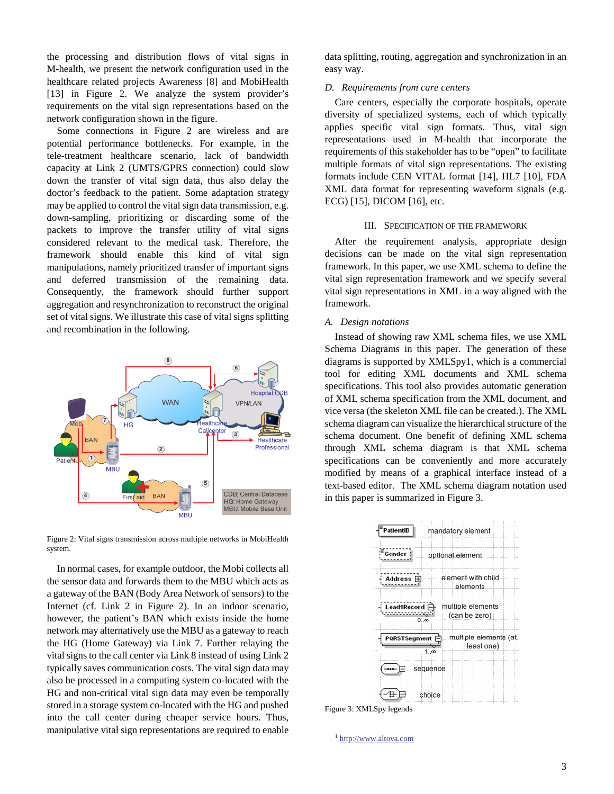the processing and distribution flows of vital signs in M-health, we present the network configuration used in the healthcare related projects Awareness [8] and MobiHealth [13] in Figure 2. We analyze the system provider's requirements on the vital sign representations based on the network configuration shown in the figure.

Some connections in Figure 2 are wireless and are potential performance bottlenecks. For example, in the tele-treatment healthcare scenario, lack of bandwidth capacity at Link 2 (UMTS/GPRS connection) could slow down the transfer of vital sign data, thus also delay the doctor's feedback to the patient. Some adaptation strategy may be applied to control the vital sign data transmission, e.g. down-sampling, prioritizing or discarding some of the packets to improve the transfer utility of vital signs considered relevant to the medical task. Therefore, the framework should enable this kind of vital sign manipulations, namely prioritized transfer of important signs and deferred transmission of the remaining data. Consequently, the framework should further support aggregation and resynchronization to reconstruct the original set of vital signs. We illustrate this case of vital signs splitting and recombination in the following.



Figure 2: Vital signs transmission across multiple networks in MobiHealth system.

In normal cases, for example outdoor, the Mobi collects all the sensor data and forwards them to the MBU which acts as a gateway of the BAN (Body Area Network of sensors) to the Internet (cf. Link 2 in Figure 2). In an indoor scenario, however, the patient's BAN which exists inside the home network may alternatively use the MBU as a gateway to reach the HG (Home Gateway) via Link 7. Further relaying the vital signs to the call center via Link 8 instead of using Link 2 typically saves communication costs. The vital sign data may also be processed in a computing system co-located with the HG and non-critical vital sign data may even be temporally stored in a storage system co-located with the HG and pushed into the call center during cheaper service hours. Thus, manipulative vital sign representations are required to enable data splitting, routing, aggregation and synchronization in an easy way.

### *D. Requirements from care centers*

Care centers, especially the corporate hospitals, operate diversity of specialized systems, each of which typically applies specific vital sign formats. Thus, vital sign representations used in M-health that incorporate the requirements of this stakeholder has to be "open" to facilitate multiple formats of vital sign representations. The existing formats include CEN VITAL format [14], HL7 [10], FDA XML data format for representing waveform signals (e.g. ECG) [15], DICOM [16], etc.

# III. SPECIFICATION OF THE FRAMEWORK

After the requirement analysis, appropriate design decisions can be made on the vital sign representation framework. In this paper, we use XML schema to define the vital sign representation framework and we specify several vital sign representations in XML in a way aligned with the framework.

#### *A. Design notations*

Instead of showing raw XML schema files, we use XML Schema Diagrams in this paper. The generation of these diagrams is supported by XMLSpy1, which is a commercial tool for editing XML documents and XML schema specifications. This tool also provides automatic generation of XML schema specification from the XML document, and vice versa (the skeleton XML file can be created.). The XML schema diagram can visualize the hierarchical structure of the schema document. One benefit of defining XML schema through XML schema diagram is that XML schema specifications can be conveniently and more accurately modified by means of a graphical interface instead of a text-based editor. The XML schema diagram notation used in this paper is summarized in Figure 3.



Figure 3: XMLSpy legends

<sup>1</sup> http://www.altova.com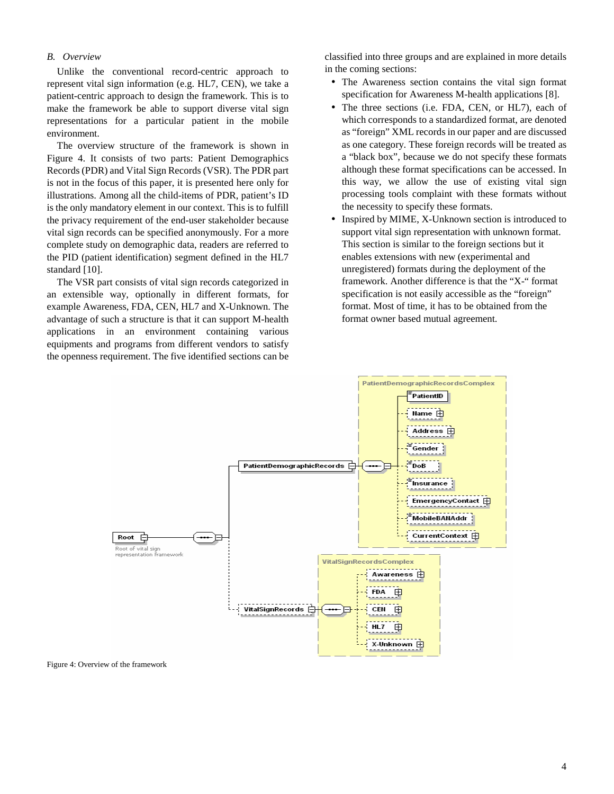## *B. Overview*

Unlike the conventional record-centric approach to represent vital sign information (e.g. HL7, CEN), we take a patient-centric approach to design the framework. This is to make the framework be able to support diverse vital sign representations for a particular patient in the mobile environment.

The overview structure of the framework is shown in Figure 4. It consists of two parts: Patient Demographics Records (PDR) and Vital Sign Records (VSR). The PDR part is not in the focus of this paper, it is presented here only for illustrations. Among all the child-items of PDR, patient's ID is the only mandatory element in our context. This is to fulfill the privacy requirement of the end-user stakeholder because vital sign records can be specified anonymously. For a more complete study on demographic data, readers are referred to the PID (patient identification) segment defined in the HL7 standard [10].

The VSR part consists of vital sign records categorized in an extensible way, optionally in different formats, for example Awareness, FDA, CEN, HL7 and X-Unknown. The advantage of such a structure is that it can support M-health applications in an environment containing various equipments and programs from different vendors to satisfy the openness requirement. The five identified sections can be

classified into three groups and are explained in more details in the coming sections:

- The Awareness section contains the vital sign format specification for Awareness M-health applications [8].
- The three sections (i.e. FDA, CEN, or HL7), each of which corresponds to a standardized format, are denoted as "foreign" XML records in our paper and are discussed as one category. These foreign records will be treated as a "black box", because we do not specify these formats although these format specifications can be accessed. In this way, we allow the use of existing vital sign processing tools complaint with these formats without the necessity to specify these formats.
- Inspired by MIME, X-Unknown section is introduced to support vital sign representation with unknown format. This section is similar to the foreign sections but it enables extensions with new (experimental and unregistered) formats during the deployment of the framework. Another difference is that the "X-" format specification is not easily accessible as the "foreign" format. Most of time, it has to be obtained from the format owner based mutual agreement.



Figure 4: Overview of the framework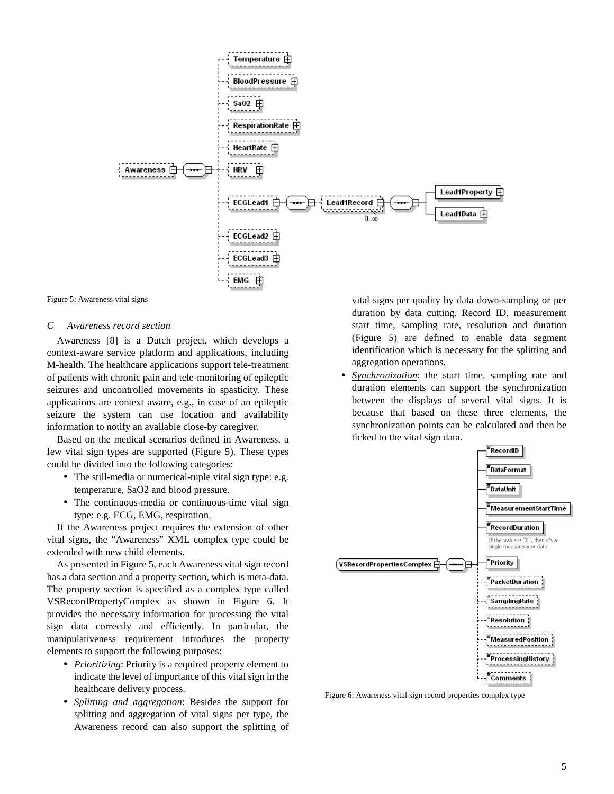



#### *C Awareness record section*

Awareness [8] is a Dutch project, which develops a context-aware service platform and applications, including M-health. The healthcare applications support tele-treatment of patients with chronic pain and tele-monitoring of epileptic seizures and uncontrolled movements in spasticity. These applications are context aware, e.g., in case of an epileptic seizure the system can use location and availability information to notify an available close-by caregiver.

Based on the medical scenarios defined in Awareness, a few vital sign types are supported (Figure 5). These types could be divided into the following categories:

- The still-media or numerical-tuple vital sign type: e.g. temperature, SaO2 and blood pressure.
- The continuous-media or continuous-time vital sign type: e.g. ECG, EMG, respiration.

If the Awareness project requires the extension of other vital signs, the "Awareness" XML complex type could be extended with new child elements.

As presented in Figure 5, each Awareness vital sign record has a data section and a property section, which is meta-data. The property section is specified as a complex type called VSRecordPropertyComplex as shown in Figure 6. It provides the necessary information for processing the vital sign data correctly and efficiently. In particular, the manipulativeness requirement introduces the property elements to support the following purposes:

- *Prioritizing*: Priority is a required property element to indicate the level of importance of this vital sign in the healthcare delivery process.
- *Splitting and aggregation*: Besides the support for splitting and aggregation of vital signs per type, the Awareness record can also support the splitting of

vital signs per quality by data down-sampling or per duration by data cutting. Record ID, measurement start time, sampling rate, resolution and duration (Figure 5) are defined to enable data segment identification which is necessary for the splitting and aggregation operations.

• *Synchronization*: the start time, sampling rate and duration elements can support the synchronization between the displays of several vital signs. It is because that based on these three elements, the synchronization points can be calculated and then be ticked to the vital sign data.



Figure 6: Awareness vital sign record properties complex type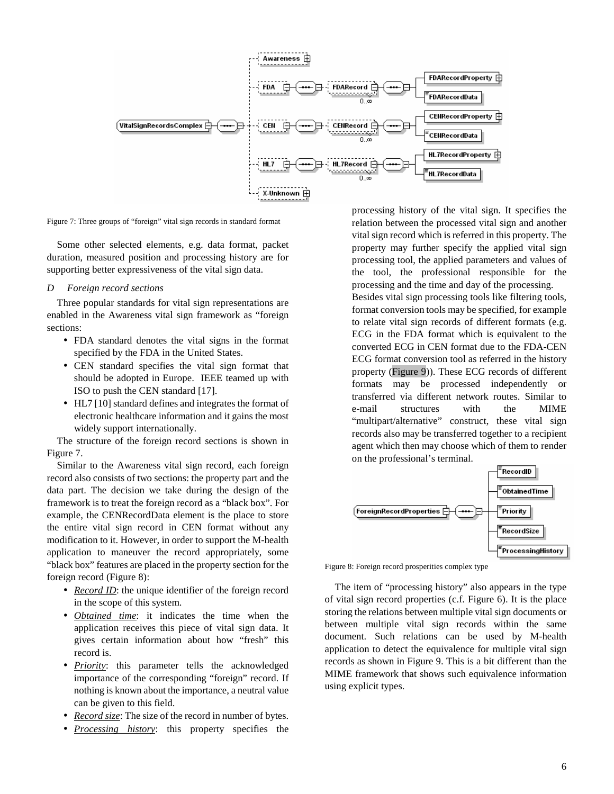

Figure 7: Three groups of "foreign" vital sign records in standard format

Some other selected elements, e.g. data format, packet duration, measured position and processing history are for supporting better expressiveness of the vital sign data.

#### *D Foreign record sections*

Three popular standards for vital sign representations are enabled in the Awareness vital sign framework as "foreign sections:

- FDA standard denotes the vital signs in the format specified by the FDA in the United States.
- CEN standard specifies the vital sign format that should be adopted in Europe. IEEE teamed up with ISO to push the CEN standard [17].
- HL7 [10] standard defines and integrates the format of electronic healthcare information and it gains the most widely support internationally.

The structure of the foreign record sections is shown in Figure 7.

Similar to the Awareness vital sign record, each foreign record also consists of two sections: the property part and the data part. The decision we take during the design of the framework is to treat the foreign record as a "black box". For example, the CENRecordData element is the place to store the entire vital sign record in CEN format without any modification to it. However, in order to support the M-health application to maneuver the record appropriately, some "black box" features are placed in the property section for the foreign record (Figure 8):

- *Record ID*: the unique identifier of the foreign record in the scope of this system.
- *Obtained time*: it indicates the time when the application receives this piece of vital sign data. It gives certain information about how "fresh" this record is.
- *Priority*: this parameter tells the acknowledged importance of the corresponding "foreign" record. If nothing is known about the importance, a neutral value can be given to this field.
- *Record size*: The size of the record in number of bytes.
- *Processing history*: this property specifies the

processing history of the vital sign. It specifies the relation between the processed vital sign and another vital sign record which is referred in this property. The property may further specify the applied vital sign processing tool, the applied parameters and values of the tool, the professional responsible for the processing and the time and day of the processing.

Besides vital sign processing tools like filtering tools, format conversion tools may be specified, for example to relate vital sign records of different formats (e.g. ECG in the FDA format which is equivalent to the converted ECG in CEN format due to the FDA-CEN ECG format conversion tool as referred in the history property (Figure 9)). These ECG records of different formats may be processed independently or transferred via different network routes. Similar to e-mail structures with the MIME "multipart/alternative" construct, these vital sign records also may be transferred together to a recipient agent which then may choose which of them to render on the professional's terminal.



Figure 8: Foreign record prosperities complex type

The item of "processing history" also appears in the type of vital sign record properties (c.f. Figure 6). It is the place storing the relations between multiple vital sign documents or between multiple vital sign records within the same document. Such relations can be used by M-health application to detect the equivalence for multiple vital sign records as shown in Figure 9. This is a bit different than the MIME framework that shows such equivalence information using explicit types.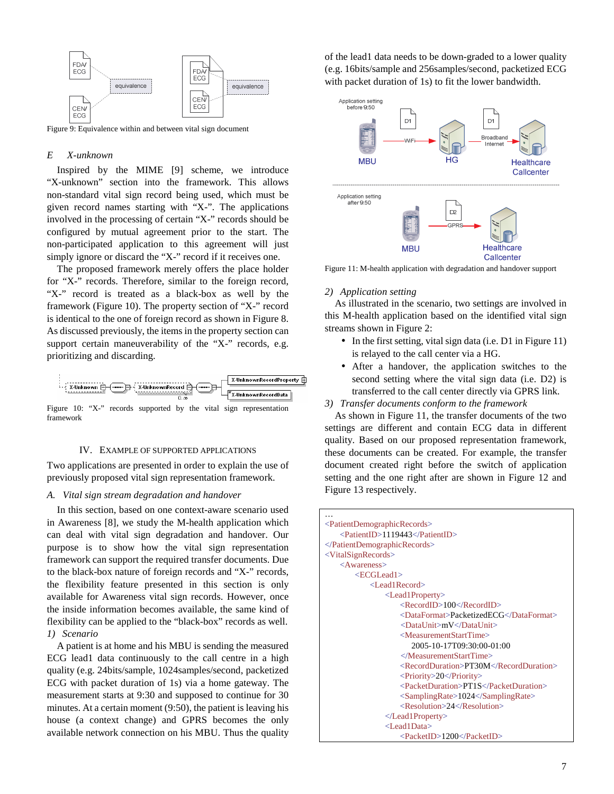

Figure 9: Equivalence within and between vital sign document

#### *E X-unknown*

Inspired by the MIME [9] scheme, we introduce "X-unknown" section into the framework. This allows non-standard vital sign record being used, which must be given record names starting with "X-". The applications involved in the processing of certain "X-" records should be configured by mutual agreement prior to the start. The non-participated application to this agreement will just simply ignore or discard the "X-" record if it receives one.

The proposed framework merely offers the place holder for "X-" records. Therefore, similar to the foreign record, "X-" record is treated as a black-box as well by the framework (Figure 10). The property section of "X-" record is identical to the one of foreign record as shown in Figure 8. As discussed previously, the items in the property section can support certain maneuverability of the "X-" records, e.g. prioritizing and discarding.



Figure 10: "X-" records supported by the vital sign representation framework

#### IV. EXAMPLE OF SUPPORTED APPLICATIONS

Two applications are presented in order to explain the use of previously proposed vital sign representation framework.

#### *A. Vital sign stream degradation and handover*

In this section, based on one context-aware scenario used in Awareness [8], we study the M-health application which can deal with vital sign degradation and handover. Our purpose is to show how the vital sign representation framework can support the required transfer documents. Due to the black-box nature of foreign records and "X-" records, the flexibility feature presented in this section is only available for Awareness vital sign records. However, once the inside information becomes available, the same kind of flexibility can be applied to the "black-box" records as well. *1) Scenario* 

A patient is at home and his MBU is sending the measured ECG lead1 data continuously to the call centre in a high quality (e.g. 24bits/sample, 1024samples/second, packetized ECG with packet duration of 1s) via a home gateway. The measurement starts at 9:30 and supposed to continue for 30 minutes. At a certain moment (9:50), the patient is leaving his house (a context change) and GPRS becomes the only available network connection on his MBU. Thus the quality

of the lead1 data needs to be down-graded to a lower quality (e.g. 16bits/sample and 256samples/second, packetized ECG with packet duration of 1s) to fit the lower bandwidth.



Figure 11: M-health application with degradation and handover support

#### *2) Application setting*

As illustrated in the scenario, two settings are involved in this M-health application based on the identified vital sign streams shown in Figure 2:

- In the first setting, vital sign data (i.e. D1 in Figure 11) is relayed to the call center via a HG.
- After a handover, the application switches to the second setting where the vital sign data (i.e. D2) is transferred to the call center directly via GPRS link.

*3) Transfer documents conform to the framework* 

As shown in Figure 11, the transfer documents of the two settings are different and contain ECG data in different quality. Based on our proposed representation framework, these documents can be created. For example, the transfer document created right before the switch of application setting and the one right after are shown in Figure 12 and Figure 13 respectively.

| <patientdemographicrecords></patientdemographicrecords> |
|---------------------------------------------------------|
| <patientid>1119443</patientid>                          |
|                                                         |
|                                                         |
| $<$ VitalSignRecords><br>$<$ Awareness>                 |
|                                                         |
| $<$ ECGLead1>                                           |
| $<$ Lead1Record $>$                                     |
| $\le$ Lead Property>                                    |
| $<$ RecordID>100 $<$ /RecordID>                         |
| <dataformat>PacketizedECG</dataformat>                  |
| <dataunit>mV</dataunit>                                 |
| <measurementstarttime></measurementstarttime>           |
| 2005-10-17T09:30:00-01:00                               |
| $\langle$ /MeasurementStartTime>                        |
| <recordduration>PT30M</recordduration>                  |
| $\langle$ Priority>20 $\langle$ Priority>               |
| <packetduration>PT1S</packetduration>                   |
| <samplingrate>1024</samplingrate>                       |
| $<$ Resolution>24 $<$ /Resolution>                      |
| $\langle$ Lead1Property>                                |
| $<$ Lead1Data>                                          |
| <packetid>1200</packetid>                               |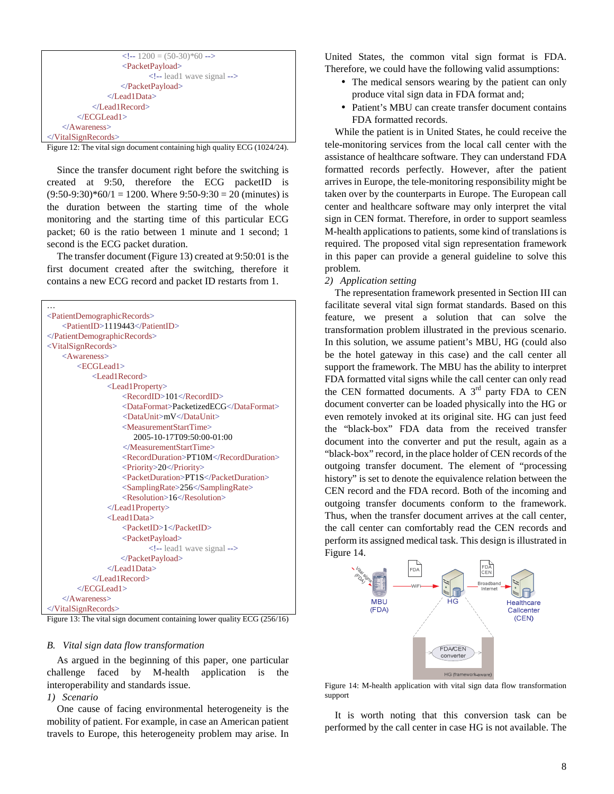| $\langle -1200 \rangle = (50-30)^* 60 \rangle$ |
|------------------------------------------------|
| <packetpayload></packetpayload>                |
| $\leq$ !-- lead1 wave signal -->               |
| $\langle$ PacketPayload>                       |
| $\langle$ Lead1Data>                           |
| $\langle$ Lead1Record>                         |
| $\langle$ ECGLead1>                            |
| $\triangle$ Awareness>                         |
| $\langle$ VitalSignRecords>                    |

Figure 12: The vital sign document containing high quality ECG (1024/24).

Since the transfer document right before the switching is created at 9:50, therefore the ECG packetID is  $(9:50-9:30)*60/1 = 1200$ . Where  $9:50-9:30 = 20$  (minutes) is the duration between the starting time of the whole monitoring and the starting time of this particular ECG packet; 60 is the ratio between 1 minute and 1 second; 1 second is the ECG packet duration.

The transfer document (Figure 13) created at 9:50:01 is the first document created after the switching, therefore it contains a new ECG record and packet ID restarts from 1.

| <patientdemographicrecords></patientdemographicrecords>                       |
|-------------------------------------------------------------------------------|
| <patientid>1119443</patientid>                                                |
|                                                                               |
| $<$ VitalSignRecords>                                                         |
| $<$ Awareness>                                                                |
| $\leq$ ECGLead1>                                                              |
| $<$ Lead1Record $>$                                                           |
| $<$ Lead1Property>                                                            |
| $<$ RecordID>101 $<$ /RecordID>                                               |
| <dataformat>PacketizedECG</dataformat>                                        |
| <dataunit>mV</dataunit>                                                       |
| <measurementstarttime></measurementstarttime>                                 |
| 2005-10-17T09:50:00-01:00                                                     |
|                                                                               |
| <recordduration>PT10M</recordduration>                                        |
| <priority>20</priority>                                                       |
| <packetduration>PT1S</packetduration>                                         |
| <samplingrate>256</samplingrate>                                              |
| $<$ Resolution > 16 $<$ /Resolution >                                         |
| $\langle$ Lead1Property>                                                      |
| $<$ Lead1Data>                                                                |
| <packetid>1</packetid>                                                        |
| <packetpayload></packetpayload>                                               |
| lead1 wave signal                                                             |
|                                                                               |
|                                                                               |
| $\triangle$ Lead1Record>                                                      |
| $\langle$ ECGLead1>                                                           |
| $\langle$ /Awareness>                                                         |
| $\langle$ VitalSignRecords>                                                   |
| $E_{GUT2}$ 12. The vital sign decument containing lower quality $ECG(256/16)$ |

Figure 13: The vital sign document containing lower quality ECG (256/16)

## *B. Vital sign data flow transformation*

As argued in the beginning of this paper, one particular challenge faced by M-health application is the interoperability and standards issue.

# *1) Scenario*

One cause of facing environmental heterogeneity is the mobility of patient. For example, in case an American patient travels to Europe, this heterogeneity problem may arise. In United States, the common vital sign format is FDA. Therefore, we could have the following valid assumptions:

- The medical sensors wearing by the patient can only produce vital sign data in FDA format and;
- Patient's MBU can create transfer document contains FDA formatted records.

While the patient is in United States, he could receive the tele-monitoring services from the local call center with the assistance of healthcare software. They can understand FDA formatted records perfectly. However, after the patient arrives in Europe, the tele-monitoring responsibility might be taken over by the counterparts in Europe. The European call center and healthcare software may only interpret the vital sign in CEN format. Therefore, in order to support seamless M-health applications to patients, some kind of translations is required. The proposed vital sign representation framework in this paper can provide a general guideline to solve this problem.

## *2) Application setting*

The representation framework presented in Section III can facilitate several vital sign format standards. Based on this feature, we present a solution that can solve the transformation problem illustrated in the previous scenario. In this solution, we assume patient's MBU, HG (could also be the hotel gateway in this case) and the call center all support the framework. The MBU has the ability to interpret FDA formatted vital signs while the call center can only read the CEN formatted documents. A  $3<sup>rd</sup>$  party FDA to CEN document converter can be loaded physically into the HG or even remotely invoked at its original site. HG can just feed the "black-box" FDA data from the received transfer document into the converter and put the result, again as a "black-box" record, in the place holder of CEN records of the outgoing transfer document. The element of "processing history" is set to denote the equivalence relation between the CEN record and the FDA record. Both of the incoming and outgoing transfer documents conform to the framework. Thus, when the transfer document arrives at the call center, the call center can comfortably read the CEN records and perform its assigned medical task. This design is illustrated in Figure 14.



Figure 14: M-health application with vital sign data flow transformation support

It is worth noting that this conversion task can be performed by the call center in case HG is not available. The